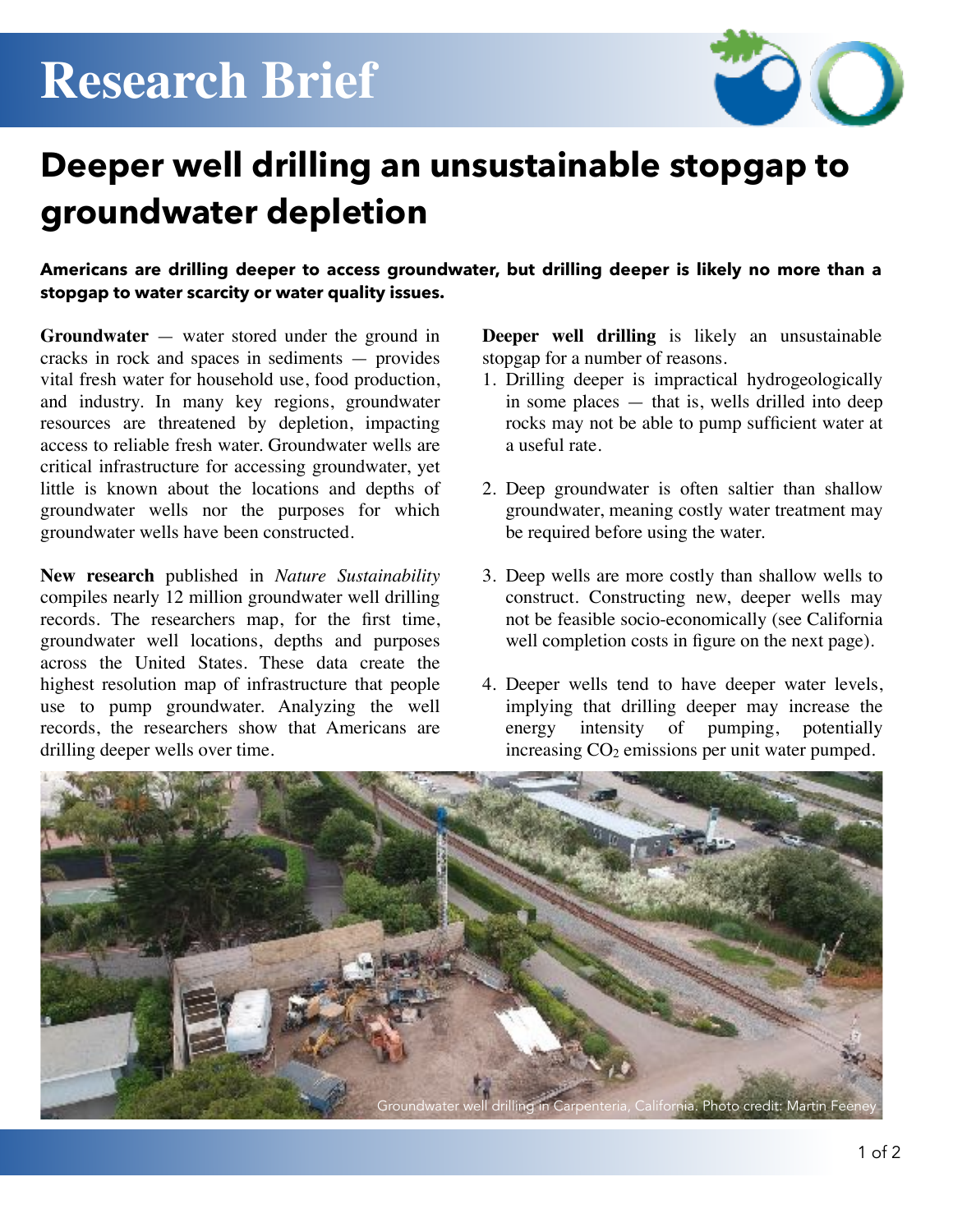## **Research Brief**



## **Deeper well drilling an unsustainable stopgap to groundwater depletion**

**Americans are drilling deeper to access groundwater, but drilling deeper is likely no more than a stopgap to water scarcity or water quality issues.** 

**Groundwater** — water stored under the ground in cracks in rock and spaces in sediments — provides vital fresh water for household use, food production, and industry. In many key regions, groundwater resources are threatened by depletion, impacting access to reliable fresh water. Groundwater wells are critical infrastructure for accessing groundwater, yet little is known about the locations and depths of groundwater wells nor the purposes for which groundwater wells have been constructed.

**New research** published in *Nature Sustainability* compiles nearly 12 million groundwater well drilling records. The researchers map, for the first time, groundwater well locations, depths and purposes across the United States. These data create the highest resolution map of infrastructure that people use to pump groundwater. Analyzing the well records, the researchers show that Americans are drilling deeper wells over time.

**Deeper well drilling** is likely an unsustainable stopgap for a number of reasons.

- 1. Drilling deeper is impractical hydrogeologically in some places — that is, wells drilled into deep rocks may not be able to pump sufficient water at a useful rate.
- 2. Deep groundwater is often saltier than shallow groundwater, meaning costly water treatment may be required before using the water.
- 3. Deep wells are more costly than shallow wells to construct. Constructing new, deeper wells may not be feasible socio-economically (see California well completion costs in figure on the next page).
- 4. Deeper wells tend to have deeper water levels, implying that drilling deeper may increase the energy intensity of pumping, potentially increasing  $CO<sub>2</sub>$  emissions per unit water pumped.